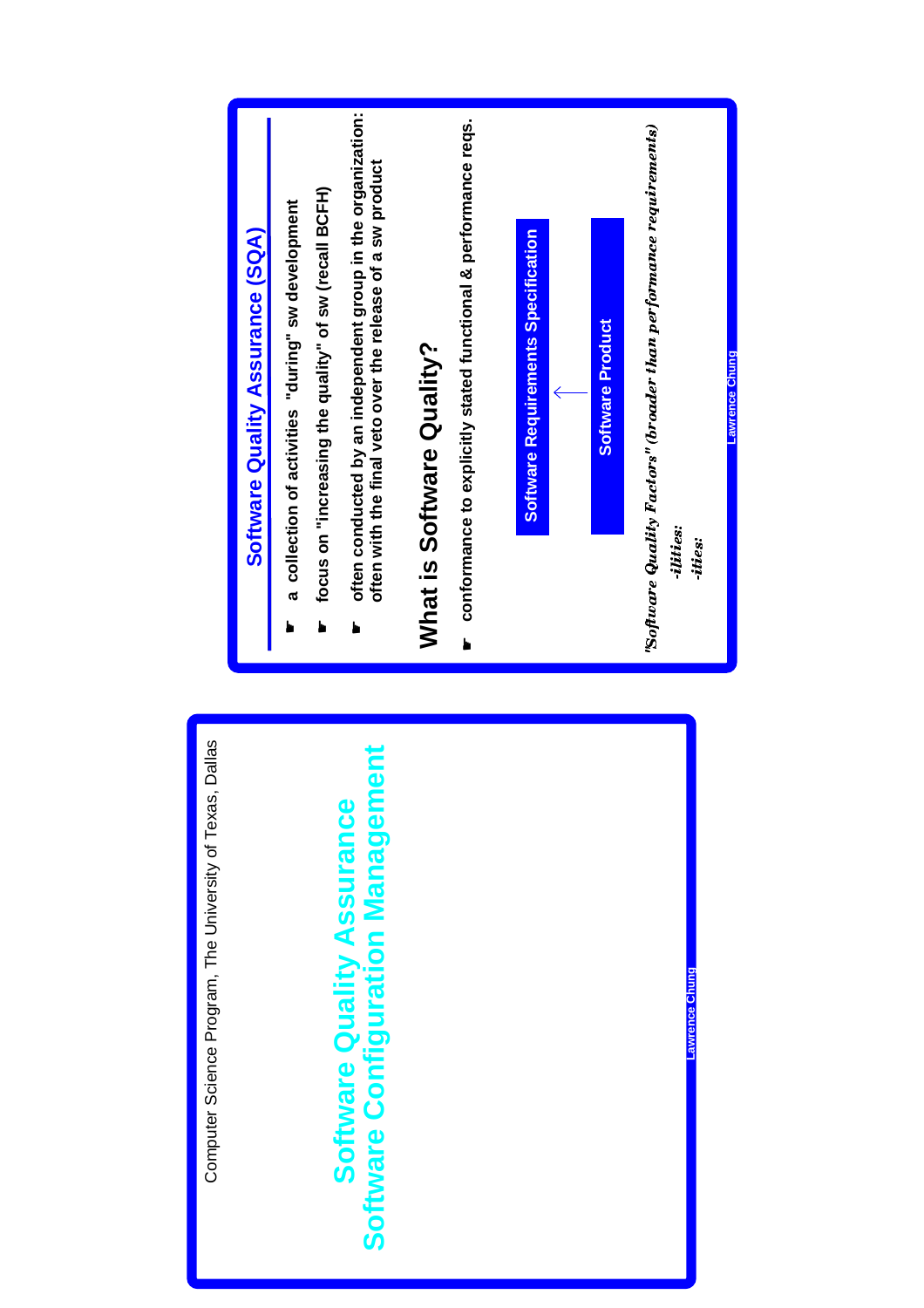

**Lawrence Chung**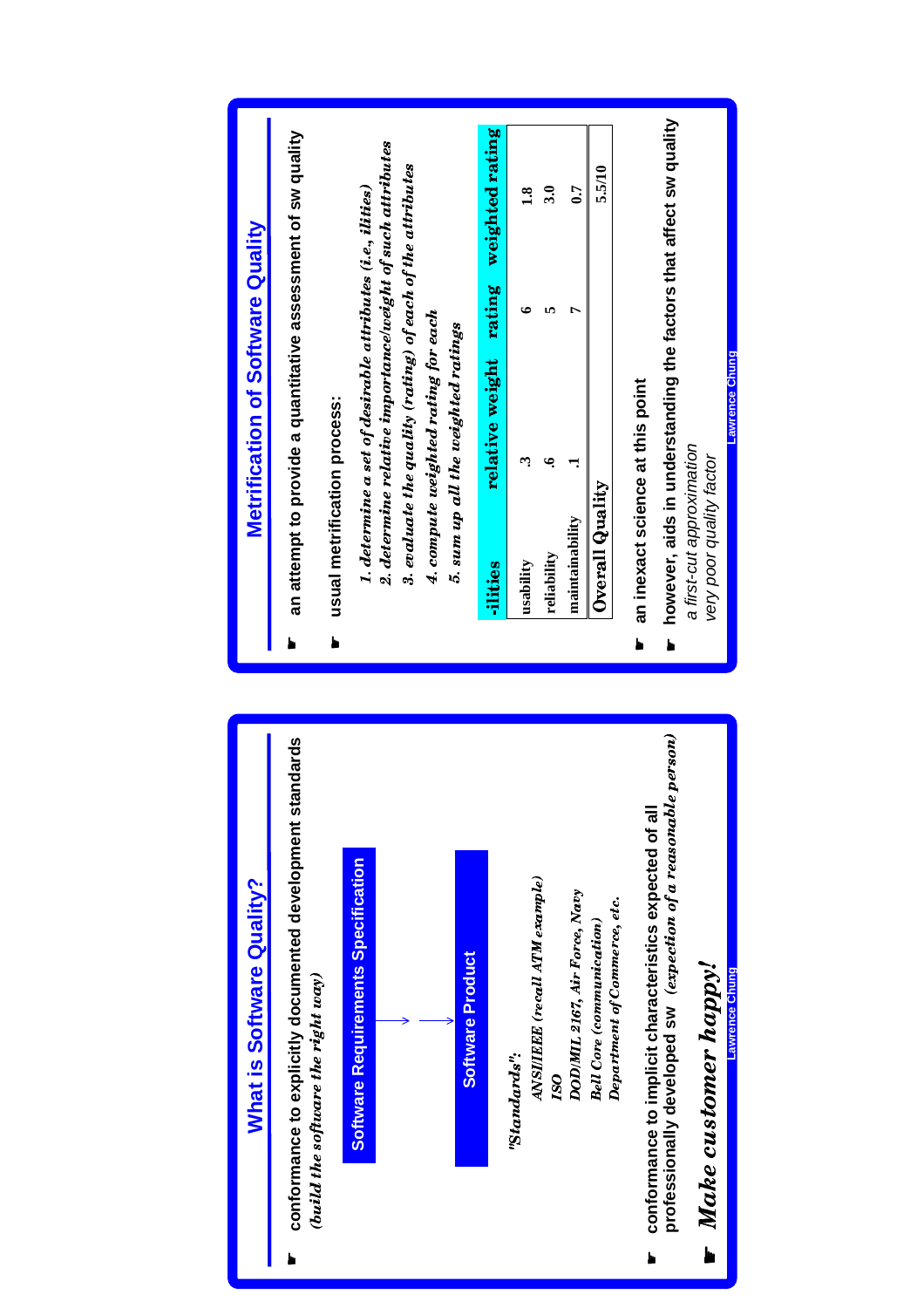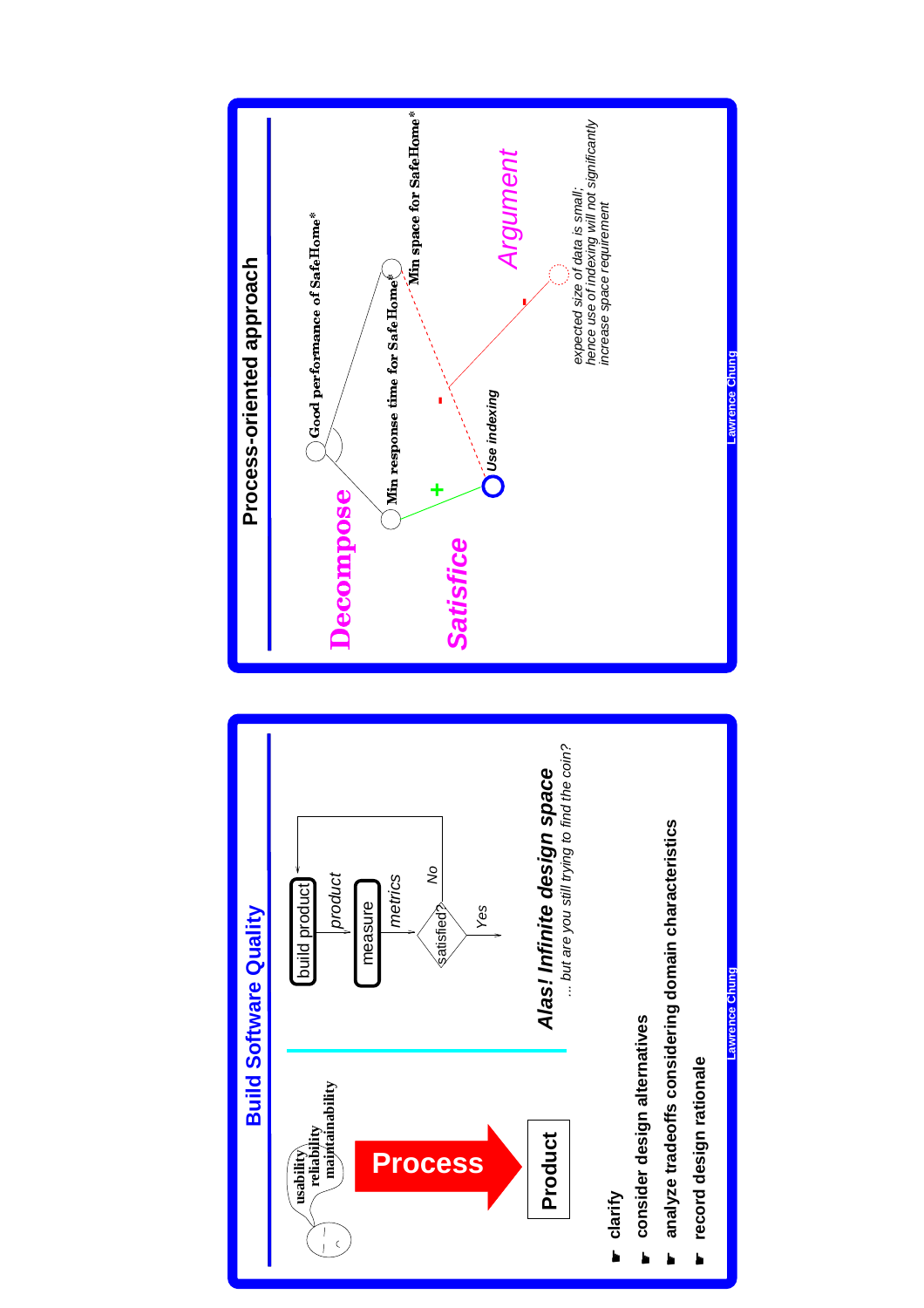



**usability reliability maintainability**

 $\bigcap_{1\leq s}$ 

**Lawrence Chung** wrence Ch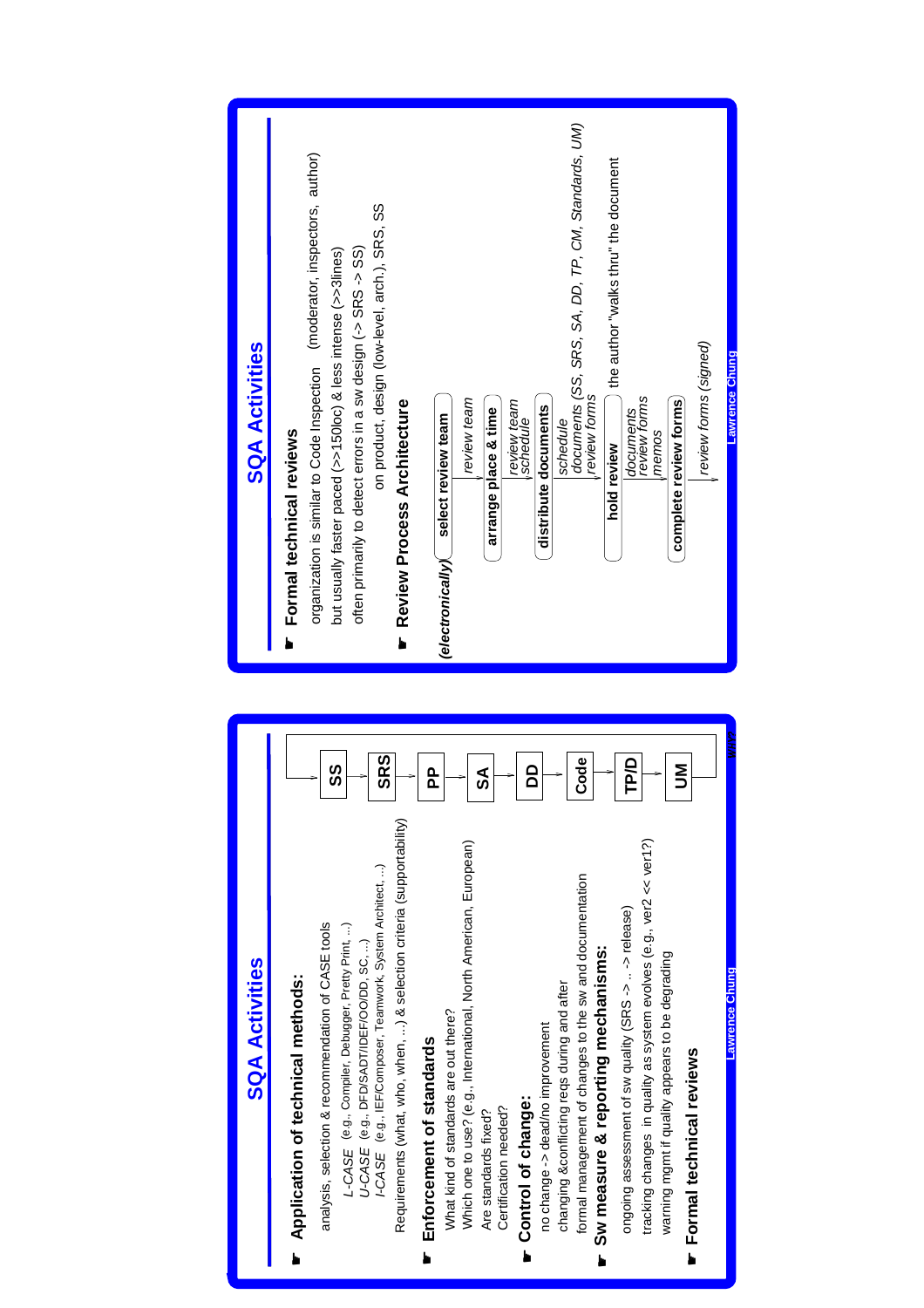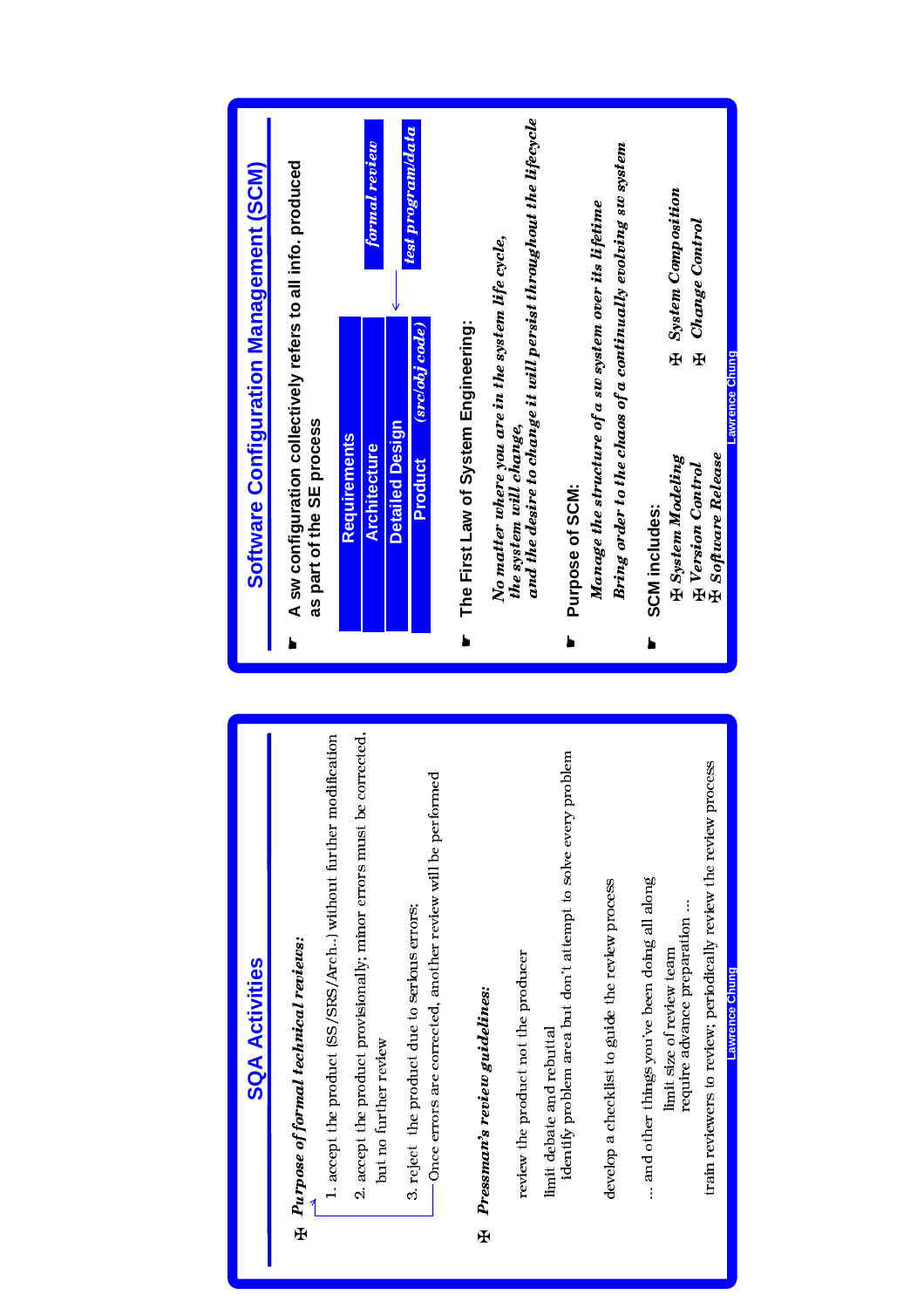

limit debate and rebuttal

Ŧ

but no further review

awrence Chui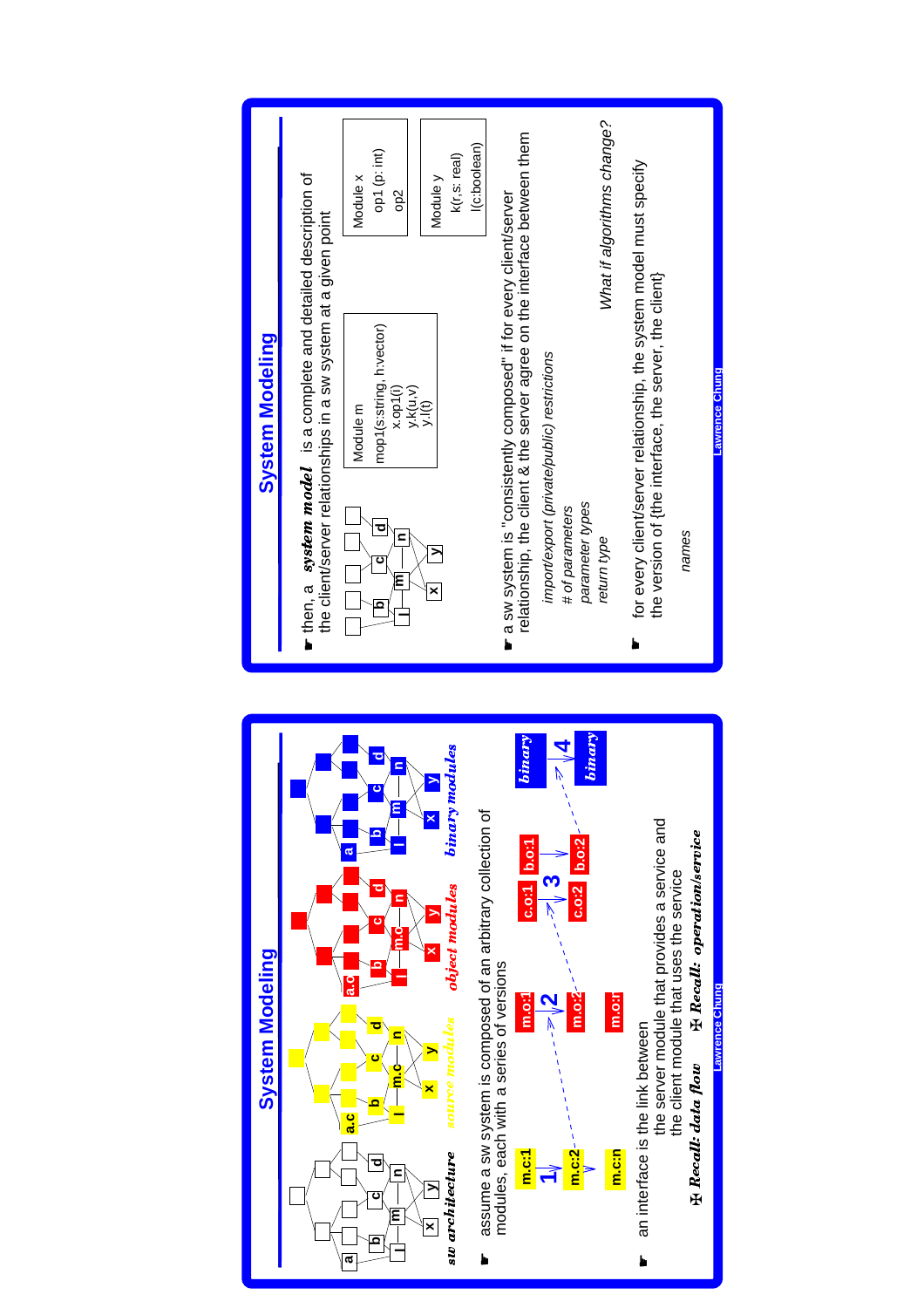

ł.

 $\overline{\mathbf{c}}$ 

Ŧ

 $\ddot{\bullet}$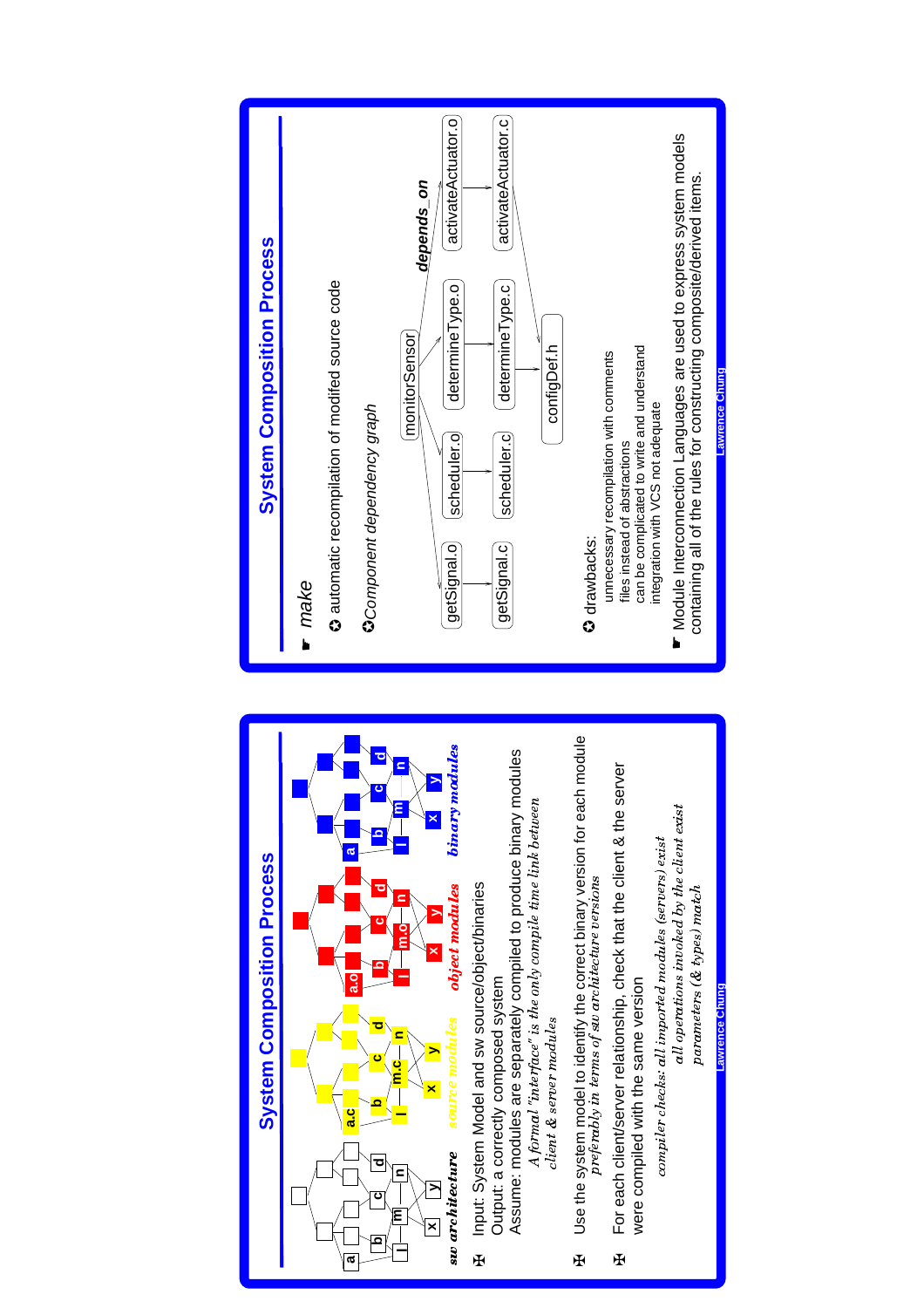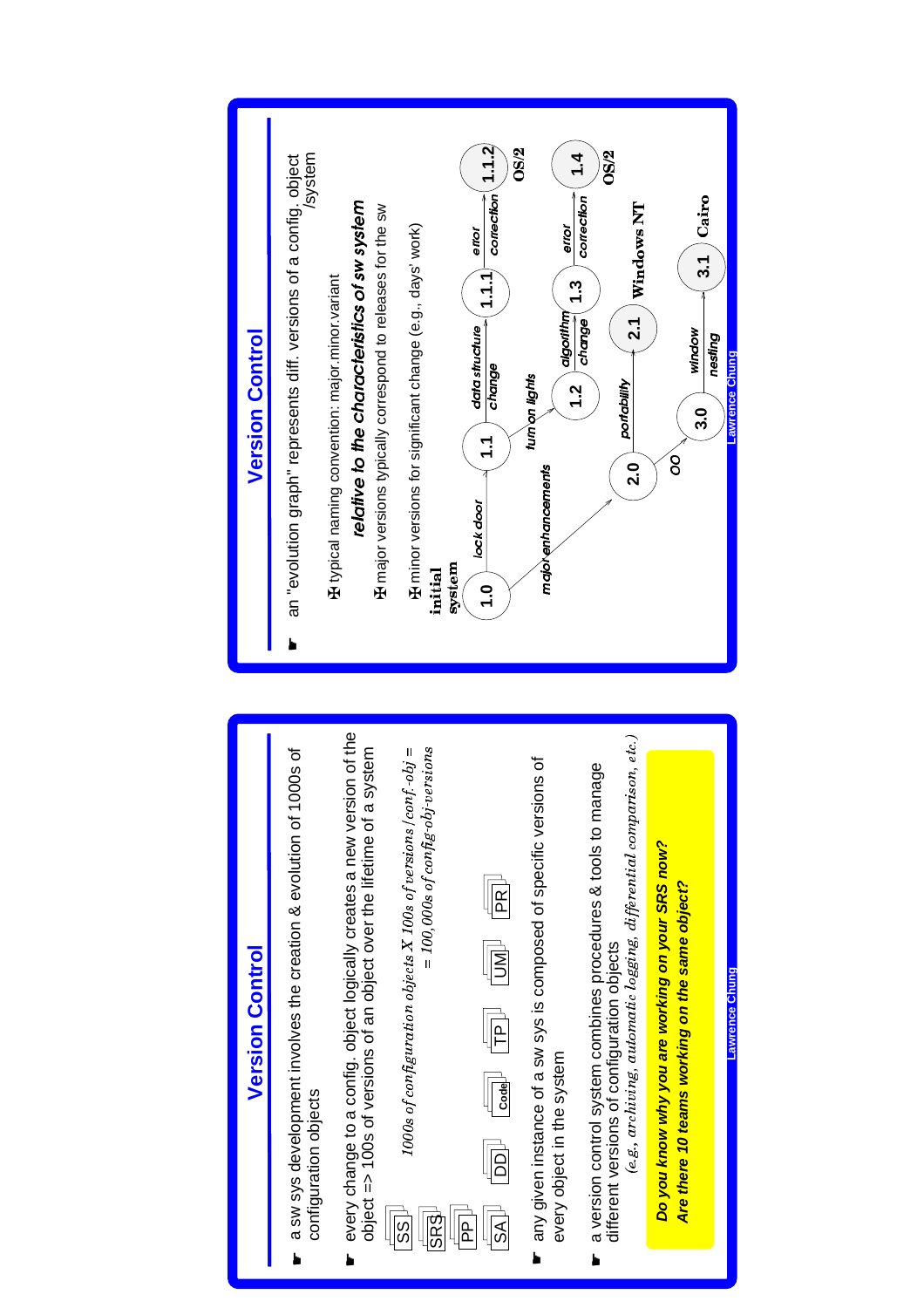